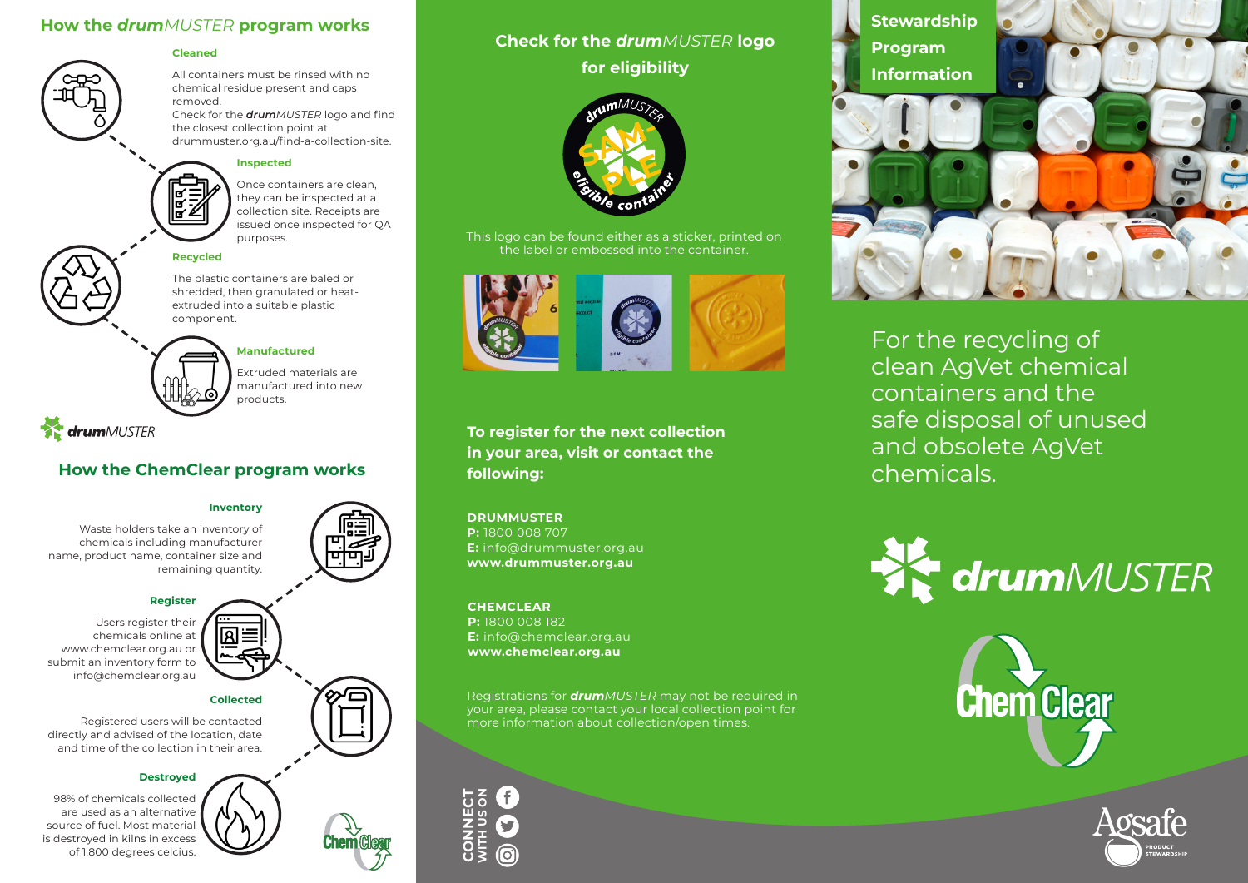## **How the** *drumMUSTER* **program works**



### **Cleaned**

All containers must be rinsed with no chemical residue present and caps removed. Check for the *drumMUSTER* logo and find

the closest collection point at drummuster.org.au/find-a-collection-site.

## **Inspected**

Once containers are clean, they can be inspected at a collection site. Receipts are issued once inspected for QA purposes.

## **Recycled**

The plastic containers are baled or shredded, then granulated or heatextruded into a suitable plastic component.

## **Manufactured**

Extruded materials are manufactured into new products.

**x drum**MUSTER

## **How the ChemClear program works following:**

### **Inventory**

Waste holders take an inventory of chemicals including manufacturer name, product name, container size and remaining quantity.

### **Register**

Users register their chemicals online at www.chemclear.org.au or submit an inventory form to info@chemclear.org.au

## **Collected**

Registered users will be contacted directly and advised of the location, date and time of the collection in their area.

### **Destroyed**

98% of chemicals collected are used as an alternative source of fuel. Most material is destroyed in kilns in excess of 1,800 degrees celcius.

|⊠≡







This logo can be found either as a sticker, printed on the label or embossed into the container.



**To register for the next collection in your area, visit or contact the** 

## **DRUMMUSTER**

**P:** 1800 008 707 **E:** info@drummuster.org.au **www.drummuster.org.au**

### **CHEMCLEAR**

**P:** 1800 008 182 **E:** info@chemclear.org.au **www.chemclear.org.au**

Registrations for *drumMUSTER* may not be required in your area, please contact your local collection point for more information about collection/open times.



**Stewardship Program Information**  $\bullet$ 

For the recycling of clean AgVet chemical containers and the safe disposal of unused and obsolete AgVet chemicals.